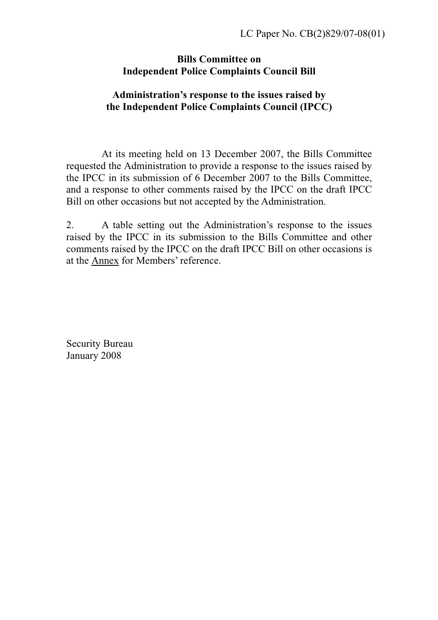## **Bills Committee on Independent Police Complaints Council Bill**

## **Administration's response to the issues raised by the Independent Police Complaints Council (IPCC)**

 At its meeting held on 13 December 2007, the Bills Committee requested the Administration to provide a response to the issues raised by the IPCC in its submission of 6 December 2007 to the Bills Committee, and a response to other comments raised by the IPCC on the draft IPCC Bill on other occasions but not accepted by the Administration.

2. A table setting out the Administration's response to the issues raised by the IPCC in its submission to the Bills Committee and other comments raised by the IPCC on the draft IPCC Bill on other occasions is at the Annex for Members' reference.

Security Bureau January 2008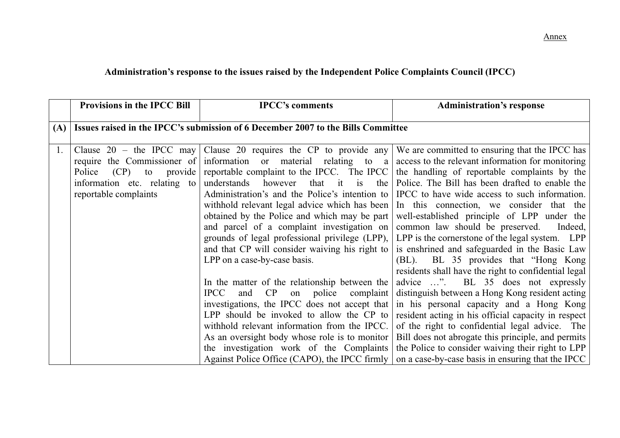## **Administration's response to the issues raised by the Independent Police Complaints Council (IPCC)**

|     | <b>Provisions in the IPCC Bill</b> | <b>IPCC's comments</b>                                                           | <b>Administration's response</b>                                                                                    |
|-----|------------------------------------|----------------------------------------------------------------------------------|---------------------------------------------------------------------------------------------------------------------|
| (A) |                                    | Issues raised in the IPCC's submission of 6 December 2007 to the Bills Committee |                                                                                                                     |
|     |                                    |                                                                                  |                                                                                                                     |
| 1.  |                                    |                                                                                  | Clause 20 – the IPCC may Clause 20 requires the CP to provide any We are committed to ensuring that the IPCC has    |
|     |                                    |                                                                                  | require the Commissioner of information or material relating to a access to the relevant information for monitoring |
|     | Police<br>$(CP)$ to                |                                                                                  | provide reportable complaint to the IPCC. The IPCC the handling of reportable complaints by the                     |
|     |                                    |                                                                                  | information etc. relating to understands however that it is the Police. The Bill has been drafted to enable the     |
|     | reportable complaints              |                                                                                  | Administration's and the Police's intention to IPCC to have wide access to such information.                        |
|     |                                    |                                                                                  | withhold relevant legal advice which has been In this connection, we consider that the                              |
|     |                                    |                                                                                  | obtained by the Police and which may be part well-established principle of LPP under the                            |
|     |                                    | and parcel of a complaint investigation on common law should be preserved.       | Indeed,                                                                                                             |
|     |                                    |                                                                                  | grounds of legal professional privilege (LPP), LPP is the cornerstone of the legal system. LPP                      |
|     |                                    |                                                                                  | and that CP will consider waiving his right to $\vert$ is enshrined and safeguarded in the Basic Law                |
|     |                                    | LPP on a case-by-case basis.                                                     | (BL). BL 35 provides that "Hong Kong"                                                                               |
|     |                                    |                                                                                  | residents shall have the right to confidential legal                                                                |
|     |                                    |                                                                                  | In the matter of the relationship between the advice $\dots$ ". BL 35 does not expressly                            |
|     |                                    | and CP<br><b>IPCC</b>                                                            | on police complaint distinguish between a Hong Kong resident acting                                                 |
|     |                                    |                                                                                  | investigations, the IPCC does not accept that in his personal capacity and a Hong Kong                              |
|     |                                    |                                                                                  | LPP should be invoked to allow the CP to resident acting in his official capacity in respect                        |
|     |                                    | withhold relevant information from the IPCC.                                     | of the right to confidential legal advice. The                                                                      |
|     |                                    |                                                                                  | As an oversight body whose role is to monitor   Bill does not abrogate this principle, and permits                  |
|     |                                    |                                                                                  | the investigation work of the Complaints the Police to consider waiving their right to LPP                          |
|     |                                    |                                                                                  | Against Police Office (CAPO), the IPCC firmly on a case-by-case basis in ensuring that the IPCC                     |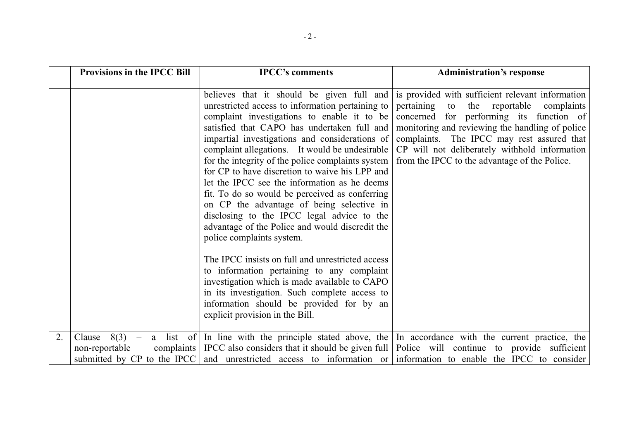|    | <b>Provisions in the IPCC Bill</b>   | <b>IPCC's comments</b>                                                                                                                                                                                                                                                                                                                                                                                                                                                                                                                                                                                                                 | <b>Administration's response</b>                                                                                                                                                                                                                                                                                                                                                                 |
|----|--------------------------------------|----------------------------------------------------------------------------------------------------------------------------------------------------------------------------------------------------------------------------------------------------------------------------------------------------------------------------------------------------------------------------------------------------------------------------------------------------------------------------------------------------------------------------------------------------------------------------------------------------------------------------------------|--------------------------------------------------------------------------------------------------------------------------------------------------------------------------------------------------------------------------------------------------------------------------------------------------------------------------------------------------------------------------------------------------|
|    |                                      | unrestricted access to information pertaining to<br>complaint investigations to enable it to be<br>satisfied that CAPO has undertaken full and<br>impartial investigations and considerations of<br>complaint allegations. It would be undesirable<br>for the integrity of the police complaints system<br>for CP to have discretion to waive his LPP and<br>let the IPCC see the information as he deems<br>fit. To do so would be perceived as conferring<br>on CP the advantage of being selective in<br>disclosing to the IPCC legal advice to the<br>advantage of the Police and would discredit the<br>police complaints system. | believes that it should be given full and is provided with sufficient relevant information<br>pertaining<br>to<br>reportable<br>the<br>complaints<br>concerned for performing its function of<br>monitoring and reviewing the handling of police<br>complaints. The IPCC may rest assured that<br>CP will not deliberately withhold information<br>from the IPCC to the advantage of the Police. |
|    |                                      | The IPCC insists on full and unrestricted access<br>to information pertaining to any complaint<br>investigation which is made available to CAPO<br>in its investigation. Such complete access to<br>information should be provided for by an<br>explicit provision in the Bill.                                                                                                                                                                                                                                                                                                                                                        |                                                                                                                                                                                                                                                                                                                                                                                                  |
| 2. | $8(3) -$<br>Clause<br>non-reportable |                                                                                                                                                                                                                                                                                                                                                                                                                                                                                                                                                                                                                                        | a list of In line with the principle stated above, the In accordance with the current practice, the<br>complaints   IPCC also considers that it should be given full   Police will continue to provide sufficient  <br>submitted by CP to the IPCC and unrestricted access to information or information to enable the IPCC to consider                                                          |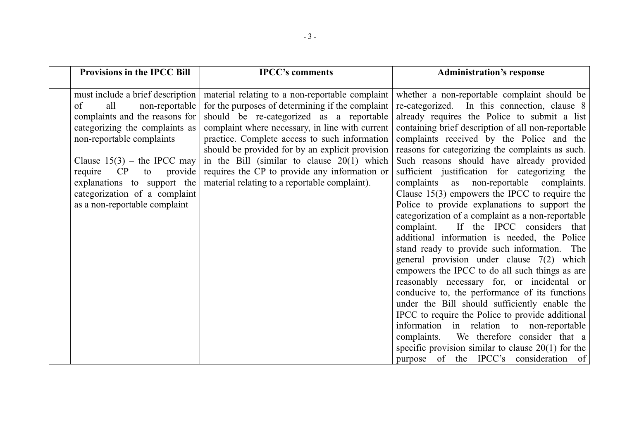|               | <b>Provisions in the IPCC Bill</b>                                                                                                                                                                                                                                                                                    | <b>IPCC's comments</b>                                                                                                                                                                                                                                                                                                                                                                                                                                   | <b>Administration's response</b>                                                                                                                                                                                                                                                                                                                                                                                                                                                                                                                                                                                                                                                                                                                                                                                                                                                                                                                                                                                                                                                                                                                                                                                                                       |
|---------------|-----------------------------------------------------------------------------------------------------------------------------------------------------------------------------------------------------------------------------------------------------------------------------------------------------------------------|----------------------------------------------------------------------------------------------------------------------------------------------------------------------------------------------------------------------------------------------------------------------------------------------------------------------------------------------------------------------------------------------------------------------------------------------------------|--------------------------------------------------------------------------------------------------------------------------------------------------------------------------------------------------------------------------------------------------------------------------------------------------------------------------------------------------------------------------------------------------------------------------------------------------------------------------------------------------------------------------------------------------------------------------------------------------------------------------------------------------------------------------------------------------------------------------------------------------------------------------------------------------------------------------------------------------------------------------------------------------------------------------------------------------------------------------------------------------------------------------------------------------------------------------------------------------------------------------------------------------------------------------------------------------------------------------------------------------------|
| of<br>require | must include a brief description  <br>all<br>non-reportable<br>complaints and the reasons for<br>categorizing the complaints as<br>non-reportable complaints<br>Clause $15(3)$ – the IPCC may<br>CP<br>provide<br>to<br>explanations to support the<br>categorization of a complaint<br>as a non-reportable complaint | material relating to a non-reportable complaint<br>for the purposes of determining if the complaint<br>should be re-categorized as a reportable<br>complaint where necessary, in line with current<br>practice. Complete access to such information<br>should be provided for by an explicit provision<br>in the Bill (similar to clause $20(1)$ which<br>requires the CP to provide any information or<br>material relating to a reportable complaint). | whether a non-reportable complaint should be<br>re-categorized. In this connection, clause 8<br>already requires the Police to submit a list<br>containing brief description of all non-reportable<br>complaints received by the Police and the<br>reasons for categorizing the complaints as such.<br>Such reasons should have already provided<br>sufficient justification for categorizing the<br>complaints as non-reportable complaints.<br>Clause $15(3)$ empowers the IPCC to require the<br>Police to provide explanations to support the<br>categorization of a complaint as a non-reportable<br>If the IPCC considers that<br>complaint.<br>additional information is needed, the Police<br>stand ready to provide such information. The<br>general provision under clause $7(2)$ which<br>empowers the IPCC to do all such things as are<br>reasonably necessary for, or incidental or<br>conducive to, the performance of its functions<br>under the Bill should sufficiently enable the<br>IPCC to require the Police to provide additional<br>information in relation to non-reportable<br>We therefore consider that a<br>complaints.<br>specific provision similar to clause $20(1)$ for the<br>purpose of the IPCC's consideration of |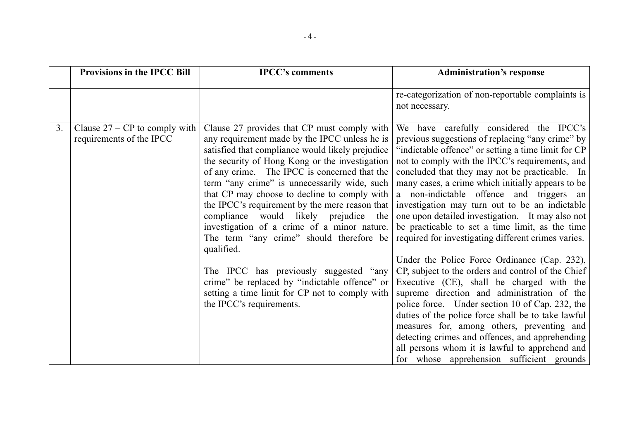|    | <b>Provisions in the IPCC Bill</b>                          | <b>IPCC's comments</b>                                                                                                                                                                                                                                                                                                                                                                                                                                                                                                                                                                                                                                                                                                             | <b>Administration's response</b>                                                                                                                                                                                                                                                                                                                                                                                                                                                                                                                                                                                                                                                                                                                                                                                                                                                                                                                                                                                                                                                    |
|----|-------------------------------------------------------------|------------------------------------------------------------------------------------------------------------------------------------------------------------------------------------------------------------------------------------------------------------------------------------------------------------------------------------------------------------------------------------------------------------------------------------------------------------------------------------------------------------------------------------------------------------------------------------------------------------------------------------------------------------------------------------------------------------------------------------|-------------------------------------------------------------------------------------------------------------------------------------------------------------------------------------------------------------------------------------------------------------------------------------------------------------------------------------------------------------------------------------------------------------------------------------------------------------------------------------------------------------------------------------------------------------------------------------------------------------------------------------------------------------------------------------------------------------------------------------------------------------------------------------------------------------------------------------------------------------------------------------------------------------------------------------------------------------------------------------------------------------------------------------------------------------------------------------|
|    |                                                             |                                                                                                                                                                                                                                                                                                                                                                                                                                                                                                                                                                                                                                                                                                                                    | re-categorization of non-reportable complaints is<br>not necessary.                                                                                                                                                                                                                                                                                                                                                                                                                                                                                                                                                                                                                                                                                                                                                                                                                                                                                                                                                                                                                 |
| 3. | Clause $27 - CP$ to comply with<br>requirements of the IPCC | Clause 27 provides that CP must comply with<br>any requirement made by the IPCC unless he is<br>satisfied that compliance would likely prejudice<br>the security of Hong Kong or the investigation<br>of any crime. The IPCC is concerned that the<br>term "any crime" is unnecessarily wide, such<br>that CP may choose to decline to comply with<br>the IPCC's requirement by the mere reason that<br>compliance would likely prejudice<br>the<br>investigation of a crime of a minor nature.<br>The term "any crime" should therefore be<br>qualified.<br>The IPCC has previously suggested "any<br>crime" be replaced by "indictable offence" or<br>setting a time limit for CP not to comply with<br>the IPCC's requirements. | We have carefully considered the IPCC's<br>previous suggestions of replacing "any crime" by<br>"indictable offence" or setting a time limit for CP<br>not to comply with the IPCC's requirements, and<br>concluded that they may not be practicable. In<br>many cases, a crime which initially appears to be<br>a non-indictable offence and triggers an<br>investigation may turn out to be an indictable<br>one upon detailed investigation. It may also not<br>be practicable to set a time limit, as the time<br>required for investigating different crimes varies.<br>Under the Police Force Ordinance (Cap. 232),<br>CP, subject to the orders and control of the Chief<br>Executive (CE), shall be charged with the<br>supreme direction and administration of the<br>police force. Under section 10 of Cap. 232, the<br>duties of the police force shall be to take lawful<br>measures for, among others, preventing and<br>detecting crimes and offences, and apprehending<br>all persons whom it is lawful to apprehend and<br>for whose apprehension sufficient grounds |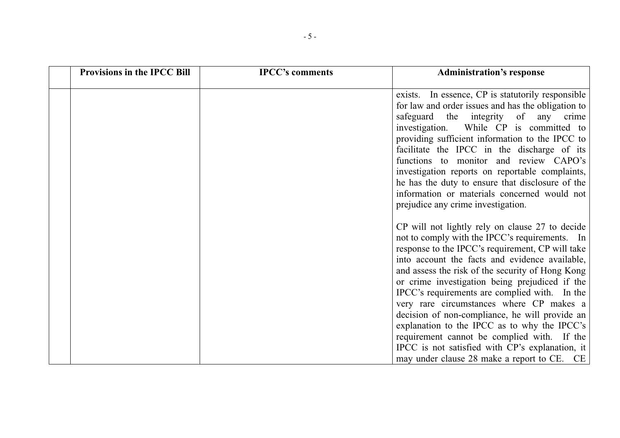| <b>Provisions in the IPCC Bill</b> | <b>IPCC's comments</b> | <b>Administration's response</b>                                                                                                                                                                                                                                                                                                                                                                                                                                                                                                                                                                                                                              |
|------------------------------------|------------------------|---------------------------------------------------------------------------------------------------------------------------------------------------------------------------------------------------------------------------------------------------------------------------------------------------------------------------------------------------------------------------------------------------------------------------------------------------------------------------------------------------------------------------------------------------------------------------------------------------------------------------------------------------------------|
|                                    |                        | exists. In essence, CP is statutorily responsible<br>for law and order issues and has the obligation to<br>safeguard the integrity of any crime<br>investigation. While CP is committed to<br>providing sufficient information to the IPCC to<br>facilitate the IPCC in the discharge of its<br>functions to monitor and review CAPO's<br>investigation reports on reportable complaints,<br>he has the duty to ensure that disclosure of the<br>information or materials concerned would not<br>prejudice any crime investigation.                                                                                                                           |
|                                    |                        | CP will not lightly rely on clause 27 to decide<br>not to comply with the IPCC's requirements. In<br>response to the IPCC's requirement, CP will take<br>into account the facts and evidence available,<br>and assess the risk of the security of Hong Kong<br>or crime investigation being prejudiced if the<br>IPCC's requirements are complied with. In the<br>very rare circumstances where CP makes a<br>decision of non-compliance, he will provide an<br>explanation to the IPCC as to why the IPCC's<br>requirement cannot be complied with. If the<br>IPCC is not satisfied with CP's explanation, it<br>may under clause 28 make a report to CE. CE |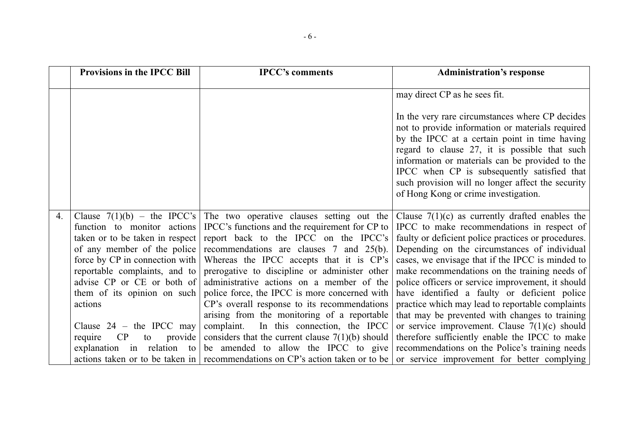|    | <b>Provisions in the IPCC Bill</b>                                        | <b>IPCC's comments</b>                                                                    | <b>Administration's response</b>                                                                                                                                                                                                                                                                                                                                                                     |
|----|---------------------------------------------------------------------------|-------------------------------------------------------------------------------------------|------------------------------------------------------------------------------------------------------------------------------------------------------------------------------------------------------------------------------------------------------------------------------------------------------------------------------------------------------------------------------------------------------|
|    |                                                                           |                                                                                           | may direct CP as he sees fit.                                                                                                                                                                                                                                                                                                                                                                        |
|    |                                                                           |                                                                                           | In the very rare circumstances where CP decides<br>not to provide information or materials required<br>by the IPCC at a certain point in time having<br>regard to clause 27, it is possible that such<br>information or materials can be provided to the<br>IPCC when CP is subsequently satisfied that<br>such provision will no longer affect the security<br>of Hong Kong or crime investigation. |
| 4. | Clause $7(1)(b)$ – the IPCC's                                             |                                                                                           | The two operative clauses setting out the Clause $7(1)(c)$ as currently drafted enables the                                                                                                                                                                                                                                                                                                          |
|    | function to monitor actions                                               | IPCC's functions and the requirement for CP to                                            | IPCC to make recommendations in respect of                                                                                                                                                                                                                                                                                                                                                           |
|    | taken or to be taken in respect                                           | report back to the IPCC on the IPCC's                                                     | faulty or deficient police practices or procedures.                                                                                                                                                                                                                                                                                                                                                  |
|    | of any member of the police                                               | recommendations are clauses 7 and 25(b).                                                  | Depending on the circumstances of individual                                                                                                                                                                                                                                                                                                                                                         |
|    | force by $CP$ in connection with $\vert$<br>reportable complaints, and to | Whereas the IPCC accepts that it is CP's<br>prerogative to discipline or administer other | cases, we envisage that if the IPCC is minded to<br>make recommendations on the training needs of                                                                                                                                                                                                                                                                                                    |
|    | advise CP or CE or both of                                                | administrative actions on a member of the                                                 | police officers or service improvement, it should                                                                                                                                                                                                                                                                                                                                                    |
|    | them of its opinion on such                                               | police force, the IPCC is more concerned with                                             | have identified a faulty or deficient police                                                                                                                                                                                                                                                                                                                                                         |
|    | actions                                                                   | CP's overall response to its recommendations                                              | practice which may lead to reportable complaints                                                                                                                                                                                                                                                                                                                                                     |
|    |                                                                           | arising from the monitoring of a reportable                                               | that may be prevented with changes to training                                                                                                                                                                                                                                                                                                                                                       |
|    | Clause $24$ – the IPCC may                                                | complaint. In this connection, the IPCC                                                   | or service improvement. Clause $7(1)(c)$ should                                                                                                                                                                                                                                                                                                                                                      |
|    | CP<br>provide<br>require<br>to                                            | considers that the current clause $7(1)(b)$ should                                        | therefore sufficiently enable the IPCC to make                                                                                                                                                                                                                                                                                                                                                       |
|    | explanation in relation to                                                | be amended to allow the IPCC to give                                                      | recommendations on the Police's training needs                                                                                                                                                                                                                                                                                                                                                       |
|    |                                                                           |                                                                                           | actions taken or to be taken in   recommendations on CP's action taken or to be   or service improvement for better complying                                                                                                                                                                                                                                                                        |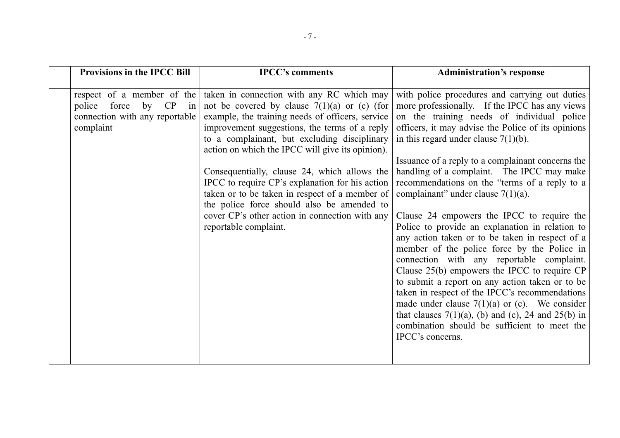| <b>Provisions in the IPCC Bill</b>                                                                             | <b>IPCC's comments</b>                                                                                                                                                                                                                                                                                                                                                                                                                                                                                                                                                             | <b>Administration's response</b>                                                                                                                                                                                                                                                                                                                                                                                                                                                                                                                                                                                                                                                                                                                                                                                                                                                                                                                                                                                                  |
|----------------------------------------------------------------------------------------------------------------|------------------------------------------------------------------------------------------------------------------------------------------------------------------------------------------------------------------------------------------------------------------------------------------------------------------------------------------------------------------------------------------------------------------------------------------------------------------------------------------------------------------------------------------------------------------------------------|-----------------------------------------------------------------------------------------------------------------------------------------------------------------------------------------------------------------------------------------------------------------------------------------------------------------------------------------------------------------------------------------------------------------------------------------------------------------------------------------------------------------------------------------------------------------------------------------------------------------------------------------------------------------------------------------------------------------------------------------------------------------------------------------------------------------------------------------------------------------------------------------------------------------------------------------------------------------------------------------------------------------------------------|
| respect of a member of the<br>police<br>force<br>by<br>CP<br>in<br>connection with any reportable<br>complaint | taken in connection with any RC which may<br>not be covered by clause $7(1)(a)$ or (c) (for<br>example, the training needs of officers, service<br>improvement suggestions, the terms of a reply<br>to a complainant, but excluding disciplinary<br>action on which the IPCC will give its opinion).<br>Consequentially, clause 24, which allows the<br>IPCC to require CP's explanation for his action<br>taken or to be taken in respect of a member of<br>the police force should also be amended to<br>cover CP's other action in connection with any<br>reportable complaint. | with police procedures and carrying out duties<br>more professionally. If the IPCC has any views<br>on the training needs of individual police<br>officers, it may advise the Police of its opinions<br>in this regard under clause $7(1)(b)$ .<br>Issuance of a reply to a complainant concerns the<br>handling of a complaint. The IPCC may make<br>recommendations on the "terms of a reply to a<br>complainant" under clause $7(1)(a)$ .<br>Clause 24 empowers the IPCC to require the<br>Police to provide an explanation in relation to<br>any action taken or to be taken in respect of a<br>member of the police force by the Police in<br>connection with any reportable complaint.<br>Clause 25(b) empowers the IPCC to require CP<br>to submit a report on any action taken or to be<br>taken in respect of the IPCC's recommendations<br>made under clause $7(1)(a)$ or (c). We consider<br>that clauses $7(1)(a)$ , (b) and (c), 24 and 25(b) in<br>combination should be sufficient to meet the<br>IPCC's concerns. |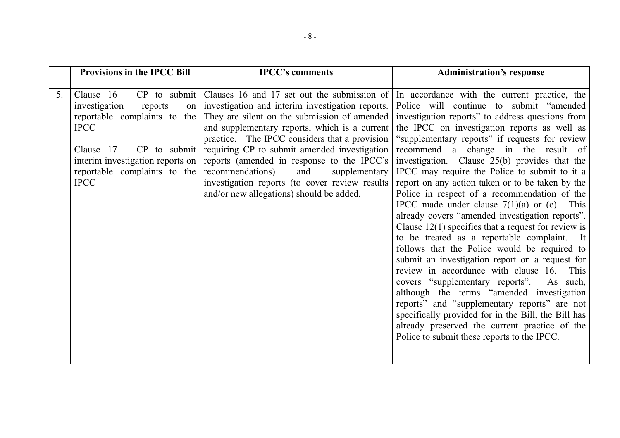|    | <b>Provisions in the IPCC Bill</b>                                                                                                                                                                                           | <b>IPCC's comments</b>                                                                                                                                                                                                                                                                                                                                                                                                                                                                    | <b>Administration's response</b>                                                                                                                                                                                                                                                                                                                                                                                                                                                                                                                                                                                                                                                                                                                                                                                                                                                                                                                                                                                                                                                                                                                              |
|----|------------------------------------------------------------------------------------------------------------------------------------------------------------------------------------------------------------------------------|-------------------------------------------------------------------------------------------------------------------------------------------------------------------------------------------------------------------------------------------------------------------------------------------------------------------------------------------------------------------------------------------------------------------------------------------------------------------------------------------|---------------------------------------------------------------------------------------------------------------------------------------------------------------------------------------------------------------------------------------------------------------------------------------------------------------------------------------------------------------------------------------------------------------------------------------------------------------------------------------------------------------------------------------------------------------------------------------------------------------------------------------------------------------------------------------------------------------------------------------------------------------------------------------------------------------------------------------------------------------------------------------------------------------------------------------------------------------------------------------------------------------------------------------------------------------------------------------------------------------------------------------------------------------|
| 5. | Clause $16$ – CP to submit<br>investigation<br>reports<br>on<br>reportable complaints to the<br><b>IPCC</b><br>Clause $17 - CP$ to submit<br>interim investigation reports on<br>reportable complaints to the<br><b>IPCC</b> | Clauses 16 and 17 set out the submission of<br>investigation and interim investigation reports.<br>They are silent on the submission of amended<br>and supplementary reports, which is a current<br>practice. The IPCC considers that a provision<br>requiring CP to submit amended investigation<br>reports (amended in response to the IPCC's<br>recommendations)<br>and<br>supplementary<br>investigation reports (to cover review results<br>and/or new allegations) should be added. | In accordance with the current practice, the<br>Police will continue to submit "amended"<br>investigation reports" to address questions from<br>the IPCC on investigation reports as well as<br>"supplementary reports" if requests for review<br>recommend a change in the result of<br>investigation. Clause 25(b) provides that the<br>IPCC may require the Police to submit to it a<br>report on any action taken or to be taken by the<br>Police in respect of a recommendation of the<br>IPCC made under clause $7(1)(a)$ or (c). This<br>already covers "amended investigation reports".<br>Clause $12(1)$ specifies that a request for review is<br>to be treated as a reportable complaint. It<br>follows that the Police would be required to<br>submit an investigation report on a request for<br>review in accordance with clause 16.<br>This<br>covers "supplementary reports".<br>As such,<br>although the terms "amended investigation<br>reports" and "supplementary reports" are not<br>specifically provided for in the Bill, the Bill has<br>already preserved the current practice of the<br>Police to submit these reports to the IPCC. |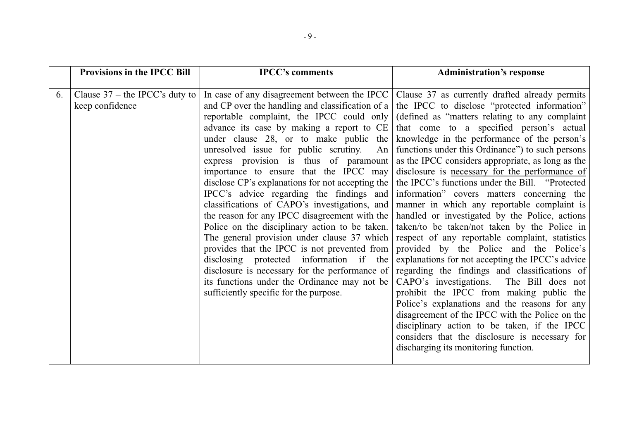|    | <b>Provisions in the IPCC Bill</b>                  | <b>IPCC's comments</b>                                                                                                                                                                                                                                                                                                                                                                                                                                                                                                                                                                                                                                               | <b>Administration's response</b>                                                                                                                                                                                                                                                                                                                                                                                                                                                                                                                                                                                                                                                                                                                                                                                                                                                                                                                                                                                                                                                                                                                                                                                                                                                                                                                                                                                                                      |
|----|-----------------------------------------------------|----------------------------------------------------------------------------------------------------------------------------------------------------------------------------------------------------------------------------------------------------------------------------------------------------------------------------------------------------------------------------------------------------------------------------------------------------------------------------------------------------------------------------------------------------------------------------------------------------------------------------------------------------------------------|-------------------------------------------------------------------------------------------------------------------------------------------------------------------------------------------------------------------------------------------------------------------------------------------------------------------------------------------------------------------------------------------------------------------------------------------------------------------------------------------------------------------------------------------------------------------------------------------------------------------------------------------------------------------------------------------------------------------------------------------------------------------------------------------------------------------------------------------------------------------------------------------------------------------------------------------------------------------------------------------------------------------------------------------------------------------------------------------------------------------------------------------------------------------------------------------------------------------------------------------------------------------------------------------------------------------------------------------------------------------------------------------------------------------------------------------------------|
| 6. | Clause $37$ – the IPCC's duty to<br>keep confidence | reportable complaint, the IPCC could only<br>advance its case by making a report to CE<br>under clause $28$ , or to make public the<br>unresolved issue for public scrutiny. An $\vert$<br>express provision is thus of paramount<br>importance to ensure that the IPCC may<br>classifications of CAPO's investigations, and<br>Police on the disciplinary action to be taken.<br>The general provision under clause 37 which<br>provides that the IPCC is not prevented from<br>disclosing protected information if the<br>disclosure is necessary for the performance of<br>its functions under the Ordinance may not be<br>sufficiently specific for the purpose. | In case of any disagreement between the IPCC   Clause 37 as currently drafted already permits<br>and CP over the handling and classification of a   the IPCC to disclose "protected information"<br>(defined as "matters relating to any complaint<br>that come to a specified person's actual<br>knowledge in the performance of the person's<br>functions under this Ordinance" to such persons<br>as the IPCC considers appropriate, as long as the<br>disclosure is necessary for the performance of<br>disclose CP's explanations for not accepting the $\vert$ the IPCC's functions under the Bill. "Protected<br>IPCC's advice regarding the findings and information" covers matters concerning the<br>manner in which any reportable complaint is<br>the reason for any IPCC disagreement with the   handled or investigated by the Police, actions<br>taken/to be taken/not taken by the Police in<br>respect of any reportable complaint, statistics<br>provided by the Police and the Police's<br>explanations for not accepting the IPCC's advice<br>regarding the findings and classifications of<br>CAPO's investigations. The Bill does not<br>prohibit the IPCC from making public the<br>Police's explanations and the reasons for any<br>disagreement of the IPCC with the Police on the<br>disciplinary action to be taken, if the IPCC<br>considers that the disclosure is necessary for<br>discharging its monitoring function. |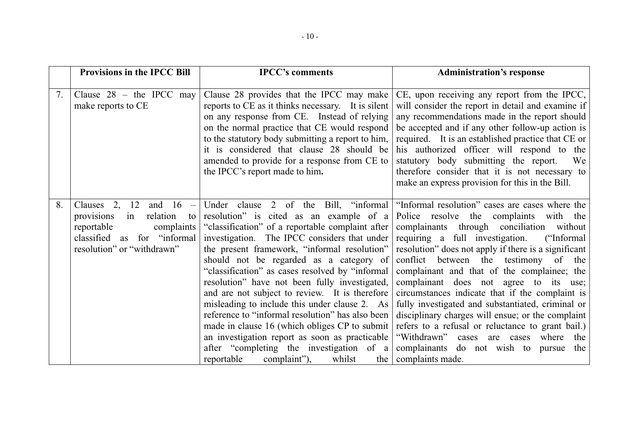|    | <b>Provisions in the IPCC Bill</b>                                                                                                                            | <b>IPCC's comments</b>                                                                                                                                                                                                                                                                                                                                                                                                                                                                                                                                                                                                                                                                           | <b>Administration's response</b>                                                                                                                                                                                                                                                                                                                                                                                                                                                                                                                                                                                                                                                                                                                               |
|----|---------------------------------------------------------------------------------------------------------------------------------------------------------------|--------------------------------------------------------------------------------------------------------------------------------------------------------------------------------------------------------------------------------------------------------------------------------------------------------------------------------------------------------------------------------------------------------------------------------------------------------------------------------------------------------------------------------------------------------------------------------------------------------------------------------------------------------------------------------------------------|----------------------------------------------------------------------------------------------------------------------------------------------------------------------------------------------------------------------------------------------------------------------------------------------------------------------------------------------------------------------------------------------------------------------------------------------------------------------------------------------------------------------------------------------------------------------------------------------------------------------------------------------------------------------------------------------------------------------------------------------------------------|
| 7. | Clause $28$ – the IPCC may<br>make reports to CE                                                                                                              | Clause 28 provides that the IPCC may make<br>reports to CE as it thinks necessary. It is silent<br>on any response from CE. Instead of relying<br>on the normal practice that CE would respond<br>to the statutory body submitting a report to him,<br>it is considered that clause 28 should be<br>amended to provide for a response from CE to<br>the IPCC's report made to him.                                                                                                                                                                                                                                                                                                               | CE, upon receiving any report from the IPCC,<br>will consider the report in detail and examine if<br>any recommendations made in the report should<br>be accepted and if any other follow-up action is<br>required. It is an established practice that CE or<br>his authorized officer will respond to the<br>statutory body submitting the report.<br>We<br>therefore consider that it is not necessary to<br>make an express provision for this in the Bill.                                                                                                                                                                                                                                                                                                 |
| 8. | Clauses 2, 12<br>and $16 -$<br>provisions<br>relation<br>in<br>to<br>reportable<br>complaints<br>classified as<br>for "informal<br>resolution" or "withdrawn" | resolution" is cited as an example of a<br>"classification" of a reportable complaint after<br>investigation. The IPCC considers that under<br>the present framework, "informal resolution"<br>should not be regarded as a category of<br>"classification" as cases resolved by "informal"<br>resolution" have not been fully investigated,<br>and are not subject to review. It is therefore<br>misleading to include this under clause 2. As<br>reference to "informal resolution" has also been<br>made in clause 16 (which obliges CP to submit<br>an investigation report as soon as practicable<br>after "completing the investigation of a<br>complaint"),<br>reportable<br>whilst<br>the | Under clause 2 of the Bill, "informal   "Informal resolution" cases are cases where the<br>Police resolve the complaints with the<br>complainants through conciliation<br>without<br>requiring a full investigation.<br>("Informal<br>resolution" does not apply if there is a significant<br>conflict between the testimony of the<br>complainant and that of the complainee; the<br>complainant does not agree to its use;<br>circumstances indicate that if the complaint is<br>fully investigated and substantiated, criminal or<br>disciplinary charges will ensue; or the complaint<br>refers to a refusal or reluctance to grant bail.)<br>"Withdrawn" cases are cases<br>where<br>the<br>complainants do not wish to pursue<br>the<br>complaints made. |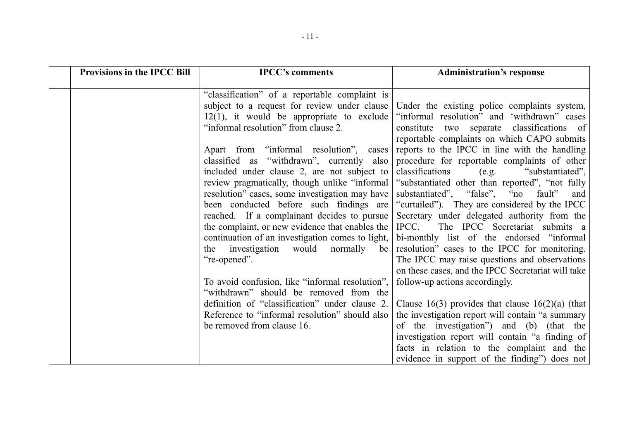| <b>Provisions in the IPCC Bill</b> | <b>IPCC's comments</b>                                                                                                                                                                                                                                                                                                                                                                                                                                                                                                                                                                                                                                                                                                                                                                          | <b>Administration's response</b>                                                                                                                                                                                                                                                                                                                                                                                                                                                                                                                                                                                                                                                                                                                                                                                                                                                                                                                                                                                                 |
|------------------------------------|-------------------------------------------------------------------------------------------------------------------------------------------------------------------------------------------------------------------------------------------------------------------------------------------------------------------------------------------------------------------------------------------------------------------------------------------------------------------------------------------------------------------------------------------------------------------------------------------------------------------------------------------------------------------------------------------------------------------------------------------------------------------------------------------------|----------------------------------------------------------------------------------------------------------------------------------------------------------------------------------------------------------------------------------------------------------------------------------------------------------------------------------------------------------------------------------------------------------------------------------------------------------------------------------------------------------------------------------------------------------------------------------------------------------------------------------------------------------------------------------------------------------------------------------------------------------------------------------------------------------------------------------------------------------------------------------------------------------------------------------------------------------------------------------------------------------------------------------|
|                                    | "classification" of a reportable complaint is<br>subject to a request for review under clause<br>$12(1)$ , it would be appropriate to exclude<br>"informal resolution" from clause 2.<br>Apart from "informal resolution", cases<br>classified as "withdrawn", currently also<br>included under clause 2, are not subject to<br>resolution" cases, some investigation may have<br>reached. If a complainant decides to pursue<br>the complaint, or new evidence that enables the<br>continuation of an investigation comes to light,<br>the investigation would normally<br>be<br>"re-opened".<br>To avoid confusion, like "informal resolution",<br>"withdrawn" should be removed from the<br>definition of "classification" under clause 2.<br>Reference to "informal resolution" should also | Under the existing police complaints system,<br>"informal resolution" and 'withdrawn" cases<br>constitute two separate classifications of<br>reportable complaints on which CAPO submits<br>reports to the IPCC in line with the handling<br>procedure for reportable complaints of other<br>classifications<br>"substantiated",<br>(e.g.<br>review pragmatically, though unlike "informal   "substantiated other than reported", "not fully<br>substantiated", "false", "no fault"<br>and<br>been conducted before such findings are "curtailed"). They are considered by the IPCC<br>Secretary under delegated authority from the<br>IPCC.<br>The IPCC Secretariat submits a<br>bi-monthly list of the endorsed "informal"<br>resolution" cases to the IPCC for monitoring.<br>The IPCC may raise questions and observations<br>on these cases, and the IPCC Secretariat will take<br>follow-up actions accordingly.<br>Clause 16(3) provides that clause $16(2)(a)$ (that<br>the investigation report will contain "a summary |
|                                    |                                                                                                                                                                                                                                                                                                                                                                                                                                                                                                                                                                                                                                                                                                                                                                                                 |                                                                                                                                                                                                                                                                                                                                                                                                                                                                                                                                                                                                                                                                                                                                                                                                                                                                                                                                                                                                                                  |
|                                    | be removed from clause 16.                                                                                                                                                                                                                                                                                                                                                                                                                                                                                                                                                                                                                                                                                                                                                                      | of the investigation") and (b) (that the<br>investigation report will contain "a finding of                                                                                                                                                                                                                                                                                                                                                                                                                                                                                                                                                                                                                                                                                                                                                                                                                                                                                                                                      |
|                                    |                                                                                                                                                                                                                                                                                                                                                                                                                                                                                                                                                                                                                                                                                                                                                                                                 | facts in relation to the complaint and the<br>evidence in support of the finding" does not                                                                                                                                                                                                                                                                                                                                                                                                                                                                                                                                                                                                                                                                                                                                                                                                                                                                                                                                       |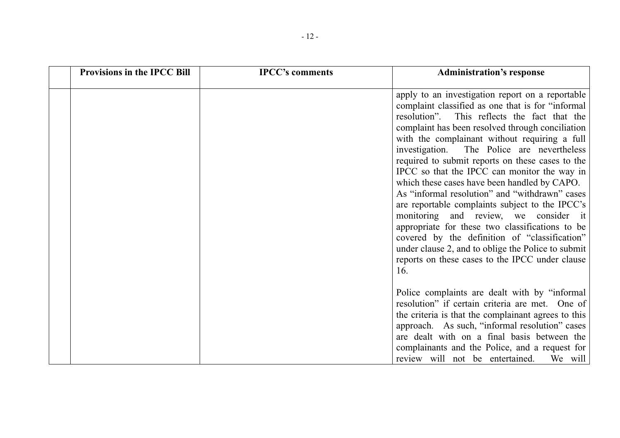| <b>Provisions in the IPCC Bill</b> | <b>IPCC's comments</b> | <b>Administration's response</b>                                                                                                                                                                                                                                                                                                                                                                                                                                                                                                                                                                                                                                                                                                                                                                                                     |
|------------------------------------|------------------------|--------------------------------------------------------------------------------------------------------------------------------------------------------------------------------------------------------------------------------------------------------------------------------------------------------------------------------------------------------------------------------------------------------------------------------------------------------------------------------------------------------------------------------------------------------------------------------------------------------------------------------------------------------------------------------------------------------------------------------------------------------------------------------------------------------------------------------------|
|                                    |                        | apply to an investigation report on a reportable<br>complaint classified as one that is for "informal<br>resolution".<br>This reflects the fact that the<br>complaint has been resolved through conciliation<br>with the complainant without requiring a full<br>The Police are nevertheless<br>investigation.<br>required to submit reports on these cases to the<br>IPCC so that the IPCC can monitor the way in<br>which these cases have been handled by CAPO.<br>As "informal resolution" and "withdrawn" cases<br>are reportable complaints subject to the IPCC's<br>monitoring and review, we consider it<br>appropriate for these two classifications to be<br>covered by the definition of "classification"<br>under clause 2, and to oblige the Police to submit<br>reports on these cases to the IPCC under clause<br>16. |
|                                    |                        | Police complaints are dealt with by "informal"<br>resolution" if certain criteria are met. One of<br>the criteria is that the complainant agrees to this<br>approach. As such, "informal resolution" cases<br>are dealt with on a final basis between the<br>complainants and the Police, and a request for<br>review will not be entertained.<br>We will                                                                                                                                                                                                                                                                                                                                                                                                                                                                            |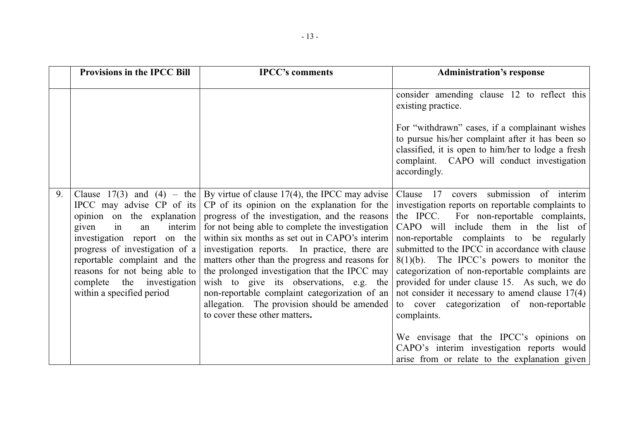|    | <b>Provisions in the IPCC Bill</b>                                                                                                                                                                                       | <b>IPCC's comments</b>                                                                                                                                                                                                                                                                                                                                                                                                                                                                                                                                                                                                                                                               | <b>Administration's response</b>                                                                                                                                                                                                                                                                                                                                                                                                                                                                                                                                                                                                                                                               |
|----|--------------------------------------------------------------------------------------------------------------------------------------------------------------------------------------------------------------------------|--------------------------------------------------------------------------------------------------------------------------------------------------------------------------------------------------------------------------------------------------------------------------------------------------------------------------------------------------------------------------------------------------------------------------------------------------------------------------------------------------------------------------------------------------------------------------------------------------------------------------------------------------------------------------------------|------------------------------------------------------------------------------------------------------------------------------------------------------------------------------------------------------------------------------------------------------------------------------------------------------------------------------------------------------------------------------------------------------------------------------------------------------------------------------------------------------------------------------------------------------------------------------------------------------------------------------------------------------------------------------------------------|
|    |                                                                                                                                                                                                                          |                                                                                                                                                                                                                                                                                                                                                                                                                                                                                                                                                                                                                                                                                      | consider amending clause 12 to reflect this<br>existing practice.<br>For "withdrawn" cases, if a complainant wishes<br>to pursue his/her complaint after it has been so<br>classified, it is open to him/her to lodge a fresh<br>complaint. CAPO will conduct investigation<br>accordingly.                                                                                                                                                                                                                                                                                                                                                                                                    |
| 9. | given<br>in<br>an<br>investigation report on the<br>progress of investigation of $a \mid$<br>reportable complaint and the<br>reasons for not being able to<br>the investigation<br>complete<br>within a specified period | Clause 17(3) and (4) – the By virtue of clause 17(4), the IPCC may advise<br>IPCC may advise CP of its $ CP$ of its opinion on the explanation for the<br>opinion on the explanation progress of the investigation, and the reasons<br>interim   for not being able to complete the investigation<br>within six months as set out in CAPO's interim<br>investigation reports. In practice, there are<br>matters other than the progress and reasons for<br>the prolonged investigation that the IPCC may<br>wish to give its observations, e.g. the<br>non-reportable complaint categorization of an<br>allegation. The provision should be amended<br>to cover these other matters. | Clause 17 covers submission of interim<br>investigation reports on reportable complaints to<br>the IPCC. For non-reportable complaints,<br>CAPO will include them in the list of<br>non-reportable complaints to be regularly<br>submitted to the IPCC in accordance with clause<br>$8(1)(b)$ . The IPCC's powers to monitor the<br>categorization of non-reportable complaints are<br>provided for under clause 15. As such, we do<br>not consider it necessary to amend clause $17(4)$<br>to cover categorization of non-reportable<br>complaints.<br>We envisage that the IPCC's opinions on<br>CAPO's interim investigation reports would<br>arise from or relate to the explanation given |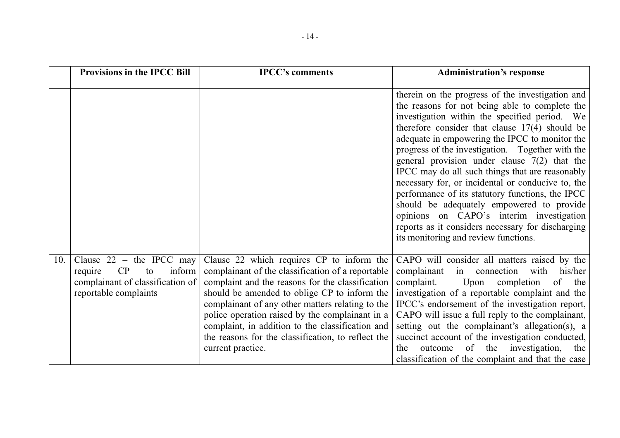|     | <b>Provisions in the IPCC Bill</b>                                                                                       | <b>IPCC's comments</b>                                                                                                                                                                                                                                                                                                                                                                                                                   | <b>Administration's response</b>                                                                                                                                                                                                                                                                                                                                                                                                                                                                                                                                                                                                                                                                                  |
|-----|--------------------------------------------------------------------------------------------------------------------------|------------------------------------------------------------------------------------------------------------------------------------------------------------------------------------------------------------------------------------------------------------------------------------------------------------------------------------------------------------------------------------------------------------------------------------------|-------------------------------------------------------------------------------------------------------------------------------------------------------------------------------------------------------------------------------------------------------------------------------------------------------------------------------------------------------------------------------------------------------------------------------------------------------------------------------------------------------------------------------------------------------------------------------------------------------------------------------------------------------------------------------------------------------------------|
|     |                                                                                                                          |                                                                                                                                                                                                                                                                                                                                                                                                                                          | therein on the progress of the investigation and<br>the reasons for not being able to complete the<br>investigation within the specified period. We<br>therefore consider that clause $17(4)$ should be<br>adequate in empowering the IPCC to monitor the<br>progress of the investigation. Together with the<br>general provision under clause $7(2)$ that the<br>IPCC may do all such things that are reasonably<br>necessary for, or incidental or conducive to, the<br>performance of its statutory functions, the IPCC<br>should be adequately empowered to provide<br>opinions on CAPO's interim investigation<br>reports as it considers necessary for discharging<br>its monitoring and review functions. |
| 10. | Clause $22 -$ the IPCC may<br>inform<br>CP<br>require<br>to<br>complainant of classification of<br>reportable complaints | Clause 22 which requires CP to inform the<br>complainant of the classification of a reportable<br>complaint and the reasons for the classification<br>should be amended to oblige CP to inform the<br>complainant of any other matters relating to the<br>police operation raised by the complainant in a<br>complaint, in addition to the classification and<br>the reasons for the classification, to reflect the<br>current practice. | CAPO will consider all matters raised by the<br>complainant<br>in connection<br>with<br>his/her<br>complaint.<br>Upon<br>completion<br>of the<br>investigation of a reportable complaint and the<br>IPCC's endorsement of the investigation report,<br>CAPO will issue a full reply to the complainant,<br>setting out the complainant's allegation(s), a<br>succinct account of the investigation conducted,<br>of the investigation, the<br>the<br>outcome<br>classification of the complaint and that the case                                                                                                                                                                                                 |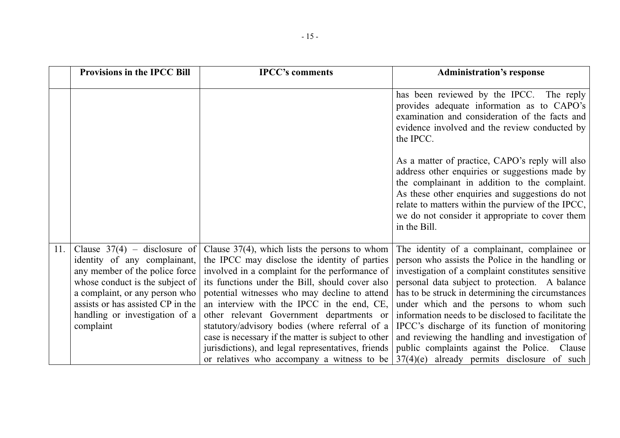|     | <b>Provisions in the IPCC Bill</b>                                                                                                                                                                                                                        | <b>IPCC's comments</b>                                                                                                                                                                                                                                                                                                                                                                                                                                                                                                                                         | <b>Administration's response</b>                                                                                                                                                                                                                                                                                                                                                                                                                                                                                                                                       |
|-----|-----------------------------------------------------------------------------------------------------------------------------------------------------------------------------------------------------------------------------------------------------------|----------------------------------------------------------------------------------------------------------------------------------------------------------------------------------------------------------------------------------------------------------------------------------------------------------------------------------------------------------------------------------------------------------------------------------------------------------------------------------------------------------------------------------------------------------------|------------------------------------------------------------------------------------------------------------------------------------------------------------------------------------------------------------------------------------------------------------------------------------------------------------------------------------------------------------------------------------------------------------------------------------------------------------------------------------------------------------------------------------------------------------------------|
|     |                                                                                                                                                                                                                                                           |                                                                                                                                                                                                                                                                                                                                                                                                                                                                                                                                                                | has been reviewed by the IPCC. The reply<br>provides adequate information as to CAPO's<br>examination and consideration of the facts and<br>evidence involved and the review conducted by<br>the IPCC.                                                                                                                                                                                                                                                                                                                                                                 |
|     |                                                                                                                                                                                                                                                           |                                                                                                                                                                                                                                                                                                                                                                                                                                                                                                                                                                | As a matter of practice, CAPO's reply will also<br>address other enquiries or suggestions made by<br>the complainant in addition to the complaint.<br>As these other enquiries and suggestions do not<br>relate to matters within the purview of the IPCC,<br>we do not consider it appropriate to cover them<br>in the Bill.                                                                                                                                                                                                                                          |
| 11. | Clause $37(4)$ – disclosure of<br>identity of any complainant,<br>any member of the police force<br>whose conduct is the subject of<br>a complaint, or any person who<br>assists or has assisted CP in the<br>handling or investigation of a<br>complaint | Clause $37(4)$ , which lists the persons to whom<br>the IPCC may disclose the identity of parties<br>involved in a complaint for the performance of<br>its functions under the Bill, should cover also<br>potential witnesses who may decline to attend<br>an interview with the IPCC in the end, CE,<br>other relevant Government departments or<br>statutory/advisory bodies (where referral of a<br>case is necessary if the matter is subject to other<br>jurisdictions), and legal representatives, friends<br>or relatives who accompany a witness to be | The identity of a complainant, complainee or<br>person who assists the Police in the handling or<br>investigation of a complaint constitutes sensitive<br>personal data subject to protection. A balance<br>has to be struck in determining the circumstances<br>under which and the persons to whom such<br>information needs to be disclosed to facilitate the<br>IPCC's discharge of its function of monitoring<br>and reviewing the handling and investigation of<br>public complaints against the Police. Clause<br>$37(4)(e)$ already permits disclosure of such |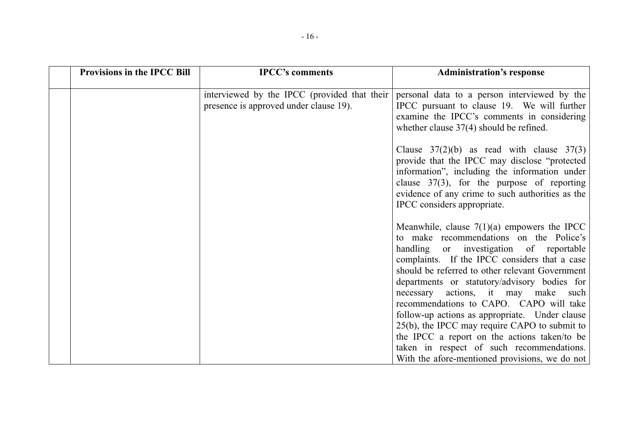| <b>Provisions in the IPCC Bill</b> | <b>IPCC's comments</b>                                                                 | <b>Administration's response</b>                                                                                                                                                                                                                                                                                               |
|------------------------------------|----------------------------------------------------------------------------------------|--------------------------------------------------------------------------------------------------------------------------------------------------------------------------------------------------------------------------------------------------------------------------------------------------------------------------------|
|                                    | interviewed by the IPCC (provided that their<br>presence is approved under clause 19). | personal data to a person interviewed by the<br>IPCC pursuant to clause 19. We will further<br>examine the IPCC's comments in considering<br>whether clause $37(4)$ should be refined.                                                                                                                                         |
|                                    |                                                                                        | Clause $37(2)(b)$ as read with clause $37(3)$<br>provide that the IPCC may disclose "protected"<br>information", including the information under<br>clause $37(3)$ , for the purpose of reporting<br>evidence of any crime to such authorities as the<br>IPCC considers appropriate.                                           |
|                                    |                                                                                        | Meanwhile, clause $7(1)(a)$ empowers the IPCC<br>to make recommendations on the Police's<br>handling or investigation of reportable<br>complaints. If the IPCC considers that a case<br>should be referred to other relevant Government<br>departments or statutory/advisory bodies for<br>necessary actions, it may make such |
|                                    |                                                                                        | recommendations to CAPO. CAPO will take<br>follow-up actions as appropriate. Under clause<br>25(b), the IPCC may require CAPO to submit to<br>the IPCC a report on the actions taken/to be<br>taken in respect of such recommendations.<br>With the afore-mentioned provisions, we do not                                      |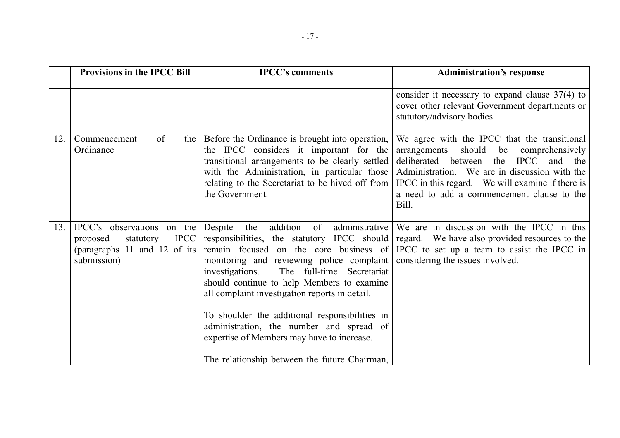|     | <b>Provisions in the IPCC Bill</b>                                                                                | <b>IPCC's comments</b>                                                                                                                                                                                                                                                                                                                                                                                                                                                                                           | <b>Administration's response</b>                                                                                                                                                                                                                                                                       |
|-----|-------------------------------------------------------------------------------------------------------------------|------------------------------------------------------------------------------------------------------------------------------------------------------------------------------------------------------------------------------------------------------------------------------------------------------------------------------------------------------------------------------------------------------------------------------------------------------------------------------------------------------------------|--------------------------------------------------------------------------------------------------------------------------------------------------------------------------------------------------------------------------------------------------------------------------------------------------------|
|     |                                                                                                                   |                                                                                                                                                                                                                                                                                                                                                                                                                                                                                                                  | consider it necessary to expand clause $37(4)$ to<br>cover other relevant Government departments or<br>statutory/advisory bodies.                                                                                                                                                                      |
| 12. | of<br>Commencement<br>the  <br>Ordinance                                                                          | Before the Ordinance is brought into operation,<br>the IPCC considers it important for the<br>transitional arrangements to be clearly settled<br>with the Administration, in particular those<br>relating to the Secretariat to be hived off from<br>the Government.                                                                                                                                                                                                                                             | We agree with the IPCC that the transitional<br>should be<br>arrangements<br>comprehensively<br>deliberated between<br>IPCC and the<br>the<br>Administration. We are in discussion with the<br>IPCC in this regard. We will examine if there is<br>a need to add a commencement clause to the<br>Bill. |
| 13. | IPCC's observations on the<br><b>IPCC</b><br>proposed<br>statutory<br>(paragraphs 11 and 12 of its<br>submission) | addition of<br>Despite<br>the<br>responsibilities, the statutory IPCC should<br>remain focused on the core business of<br>monitoring and reviewing police complaint<br>investigations.<br>The full-time Secretariat<br>should continue to help Members to examine<br>all complaint investigation reports in detail.<br>To shoulder the additional responsibilities in<br>administration, the number and spread of<br>expertise of Members may have to increase.<br>The relationship between the future Chairman, | administrative We are in discussion with the IPCC in this<br>regard. We have also provided resources to the<br>IPCC to set up a team to assist the IPCC in<br>considering the issues involved.                                                                                                         |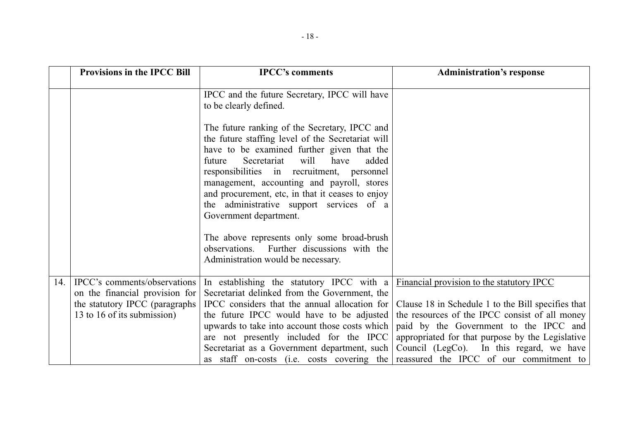|     | <b>Provisions in the IPCC Bill</b>                                                                                               | <b>IPCC's comments</b>                                                                                                                                                                                                                                                                                                                                                                                                   | <b>Administration's response</b>                                                                                                                                                                                                                |
|-----|----------------------------------------------------------------------------------------------------------------------------------|--------------------------------------------------------------------------------------------------------------------------------------------------------------------------------------------------------------------------------------------------------------------------------------------------------------------------------------------------------------------------------------------------------------------------|-------------------------------------------------------------------------------------------------------------------------------------------------------------------------------------------------------------------------------------------------|
|     |                                                                                                                                  | IPCC and the future Secretary, IPCC will have<br>to be clearly defined.                                                                                                                                                                                                                                                                                                                                                  |                                                                                                                                                                                                                                                 |
|     |                                                                                                                                  | The future ranking of the Secretary, IPCC and<br>the future staffing level of the Secretariat will<br>have to be examined further given that the<br>will<br>Secretariat<br>future<br>have<br>added<br>responsibilities in recruitment, personnel<br>management, accounting and payroll, stores<br>and procurement, etc, in that it ceases to enjoy<br>the administrative support services of a<br>Government department. |                                                                                                                                                                                                                                                 |
|     |                                                                                                                                  | The above represents only some broad-brush<br>observations. Further discussions with the<br>Administration would be necessary.                                                                                                                                                                                                                                                                                           |                                                                                                                                                                                                                                                 |
| 14. | IPCC's comments/observations<br>on the financial provision for<br>the statutory IPCC (paragraphs)<br>13 to 16 of its submission) | In establishing the statutory IPCC with a<br>Secretariat delinked from the Government, the<br>IPCC considers that the annual allocation for<br>the future IPCC would have to be adjusted<br>upwards to take into account those costs which<br>are not presently included for the IPCC                                                                                                                                    | Financial provision to the statutory IPCC<br>Clause 18 in Schedule 1 to the Bill specifies that<br>the resources of the IPCC consist of all money<br>paid by the Government to the IPCC and<br>appropriated for that purpose by the Legislative |
|     |                                                                                                                                  | Secretariat as a Government department, such                                                                                                                                                                                                                                                                                                                                                                             | Council (LegCo). In this regard, we have<br>as staff on-costs (i.e. costs covering the reassured the IPCC of our commitment to                                                                                                                  |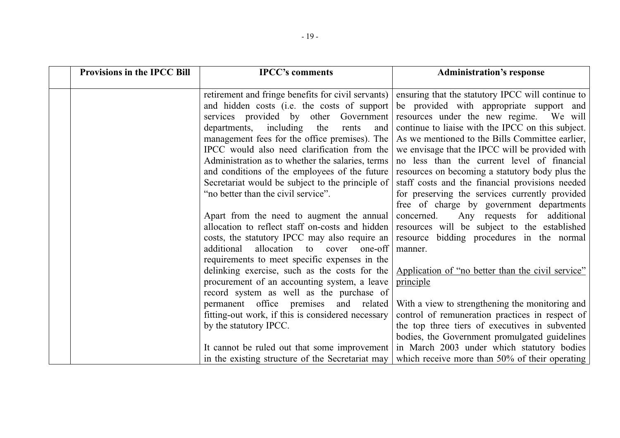| <b>Provisions in the IPCC Bill</b> | <b>IPCC's comments</b>                                                                                                                                                                                                                                                                                                                                                                                                                                                                   | <b>Administration's response</b>                                                                                                                                                                                                                                                                                                                                                                                                                                                                                                                       |
|------------------------------------|------------------------------------------------------------------------------------------------------------------------------------------------------------------------------------------------------------------------------------------------------------------------------------------------------------------------------------------------------------------------------------------------------------------------------------------------------------------------------------------|--------------------------------------------------------------------------------------------------------------------------------------------------------------------------------------------------------------------------------------------------------------------------------------------------------------------------------------------------------------------------------------------------------------------------------------------------------------------------------------------------------------------------------------------------------|
|                                    | retirement and fringe benefits for civil servants)<br>and hidden costs (i.e. the costs of support<br>services provided by other Government<br>departments, including the<br>rents<br>and<br>management fees for the office premises). The<br>IPCC would also need clarification from the<br>Administration as to whether the salaries, terms<br>and conditions of the employees of the future<br>Secretariat would be subject to the principle of<br>"no better than the civil service". | ensuring that the statutory IPCC will continue to<br>be provided with appropriate support and<br>resources under the new regime. We will<br>continue to liaise with the IPCC on this subject.<br>As we mentioned to the Bills Committee earlier,<br>we envisage that the IPCC will be provided with<br>no less than the current level of financial<br>resources on becoming a statutory body plus the<br>staff costs and the financial provisions needed<br>for preserving the services currently provided<br>free of charge by government departments |
|                                    | Apart from the need to augment the annual<br>additional<br>allocation to cover one-off<br>requirements to meet specific expenses in the<br>delinking exercise, such as the costs for the<br>procurement of an accounting system, a leave<br>record system as well as the purchase of                                                                                                                                                                                                     | Any requests for additional<br>concerned.<br>allocation to reflect staff on-costs and hidden resources will be subject to the established<br>costs, the statutory IPCC may also require an   resource bidding procedures in the normal<br>manner.<br>Application of "no better than the civil service"<br>principle                                                                                                                                                                                                                                    |
|                                    | permanent office premises and related<br>fitting-out work, if this is considered necessary<br>by the statutory IPCC.<br>It cannot be ruled out that some improvement<br>in the existing structure of the Secretariat may                                                                                                                                                                                                                                                                 | With a view to strengthening the monitoring and<br>control of remuneration practices in respect of<br>the top three tiers of executives in subvented<br>bodies, the Government promulgated guidelines<br>in March 2003 under which statutory bodies<br>which receive more than 50% of their operating                                                                                                                                                                                                                                                  |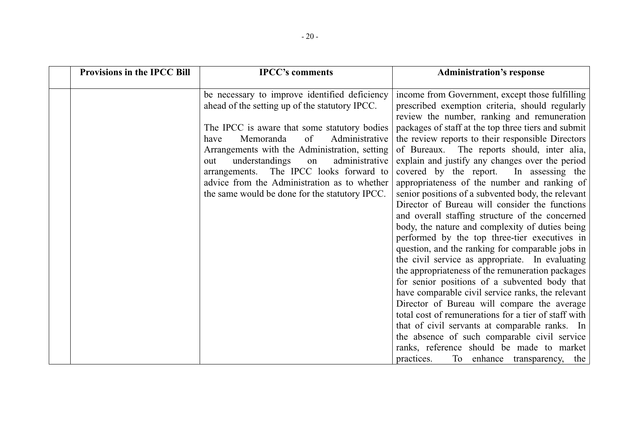| <b>Provisions in the IPCC Bill</b> | <b>IPCC's comments</b>                                                                                                                                                                      | <b>Administration's response</b>                                                                                                                                                                           |
|------------------------------------|---------------------------------------------------------------------------------------------------------------------------------------------------------------------------------------------|------------------------------------------------------------------------------------------------------------------------------------------------------------------------------------------------------------|
|                                    | be necessary to improve identified deficiency<br>ahead of the setting up of the statutory IPCC.                                                                                             | income from Government, except those fulfilling<br>prescribed exemption criteria, should regularly<br>review the number, ranking and remuneration                                                          |
|                                    | The IPCC is aware that some statutory bodies<br>Memoranda<br>of<br>Administrative<br>have<br>Arrangements with the Administration, setting<br>understandings<br>administrative<br>on<br>out | packages of staff at the top three tiers and submit<br>the review reports to their responsible Directors<br>of Bureaux. The reports should, inter alia,<br>explain and justify any changes over the period |
|                                    | arrangements. The IPCC looks forward to<br>advice from the Administration as to whether                                                                                                     | covered by the report. In assessing the<br>appropriateness of the number and ranking of                                                                                                                    |
|                                    | the same would be done for the statutory IPCC.                                                                                                                                              | senior positions of a subvented body, the relevant<br>Director of Bureau will consider the functions<br>and overall staffing structure of the concerned                                                    |
|                                    |                                                                                                                                                                                             | body, the nature and complexity of duties being<br>performed by the top three-tier executives in<br>question, and the ranking for comparable jobs in                                                       |
|                                    |                                                                                                                                                                                             | the civil service as appropriate. In evaluating<br>the appropriateness of the remuneration packages                                                                                                        |
|                                    |                                                                                                                                                                                             | for senior positions of a subvented body that<br>have comparable civil service ranks, the relevant                                                                                                         |
|                                    |                                                                                                                                                                                             | Director of Bureau will compare the average<br>total cost of remunerations for a tier of staff with                                                                                                        |
|                                    |                                                                                                                                                                                             | that of civil servants at comparable ranks. In<br>the absence of such comparable civil service                                                                                                             |
|                                    |                                                                                                                                                                                             | ranks, reference should be made to market<br>practices.<br>To enhance transparency, the                                                                                                                    |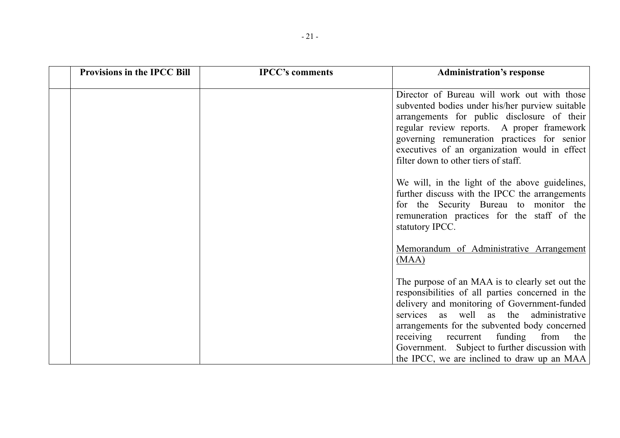| <b>Provisions in the IPCC Bill</b> | <b>IPCC's comments</b> | <b>Administration's response</b>                                                                                                                                                                                                                                                                                                    |
|------------------------------------|------------------------|-------------------------------------------------------------------------------------------------------------------------------------------------------------------------------------------------------------------------------------------------------------------------------------------------------------------------------------|
|                                    |                        | Director of Bureau will work out with those<br>subvented bodies under his/her purview suitable<br>arrangements for public disclosure of their<br>regular review reports. A proper framework<br>governing remuneration practices for senior<br>executives of an organization would in effect<br>filter down to other tiers of staff. |
|                                    |                        | We will, in the light of the above guidelines,<br>further discuss with the IPCC the arrangements<br>for the Security Bureau to monitor the<br>remuneration practices for the staff of the<br>statutory IPCC.                                                                                                                        |
|                                    |                        | Memorandum of Administrative Arrangement<br>(MAA)                                                                                                                                                                                                                                                                                   |
|                                    |                        | The purpose of an MAA is to clearly set out the<br>responsibilities of all parties concerned in the<br>delivery and monitoring of Government-funded<br>services as well as the administrative<br>arrangements for the subvented body concerned<br>receiving recurrent<br>funding from<br>the                                        |
|                                    |                        | Government. Subject to further discussion with<br>the IPCC, we are inclined to draw up an MAA                                                                                                                                                                                                                                       |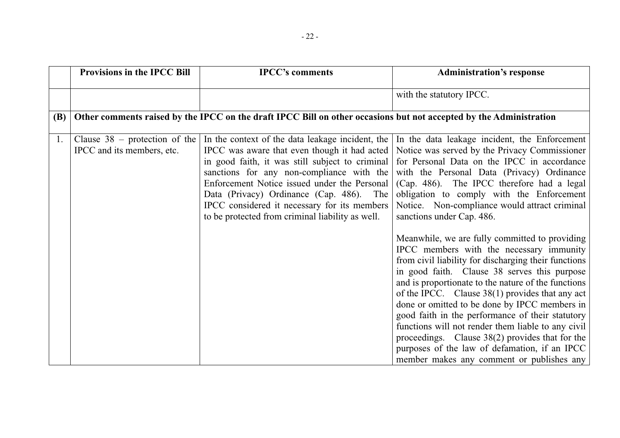|            | <b>Provisions in the IPCC Bill</b>                            | <b>IPCC's comments</b>                                                                                                                                                                                                                                                                                                                                                                           | <b>Administration's response</b>                                                                                                                                                                                                                                                                                                                                                                                                                                                                                                                                                                                           |
|------------|---------------------------------------------------------------|--------------------------------------------------------------------------------------------------------------------------------------------------------------------------------------------------------------------------------------------------------------------------------------------------------------------------------------------------------------------------------------------------|----------------------------------------------------------------------------------------------------------------------------------------------------------------------------------------------------------------------------------------------------------------------------------------------------------------------------------------------------------------------------------------------------------------------------------------------------------------------------------------------------------------------------------------------------------------------------------------------------------------------------|
|            |                                                               |                                                                                                                                                                                                                                                                                                                                                                                                  | with the statutory IPCC.                                                                                                                                                                                                                                                                                                                                                                                                                                                                                                                                                                                                   |
| <b>(B)</b> |                                                               | Other comments raised by the IPCC on the draft IPCC Bill on other occasions but not accepted by the Administration                                                                                                                                                                                                                                                                               |                                                                                                                                                                                                                                                                                                                                                                                                                                                                                                                                                                                                                            |
| 1.         | Clause $38$ – protection of the<br>IPCC and its members, etc. | In the context of the data leakage incident, the<br>IPCC was aware that even though it had acted<br>in good faith, it was still subject to criminal<br>sanctions for any non-compliance with the<br>Enforcement Notice issued under the Personal<br>Data (Privacy) Ordinance (Cap. 486). The<br>IPCC considered it necessary for its members<br>to be protected from criminal liability as well. | In the data leakage incident, the Enforcement<br>Notice was served by the Privacy Commissioner<br>for Personal Data on the IPCC in accordance<br>with the Personal Data (Privacy) Ordinance<br>(Cap. 486). The IPCC therefore had a legal<br>obligation to comply with the Enforcement<br>Notice. Non-compliance would attract criminal<br>sanctions under Cap. 486.                                                                                                                                                                                                                                                       |
|            |                                                               |                                                                                                                                                                                                                                                                                                                                                                                                  | Meanwhile, we are fully committed to providing<br>IPCC members with the necessary immunity<br>from civil liability for discharging their functions<br>in good faith. Clause 38 serves this purpose<br>and is proportionate to the nature of the functions<br>of the IPCC. Clause $38(1)$ provides that any act<br>done or omitted to be done by IPCC members in<br>good faith in the performance of their statutory<br>functions will not render them liable to any civil<br>proceedings. Clause 38(2) provides that for the<br>purposes of the law of defamation, if an IPCC<br>member makes any comment or publishes any |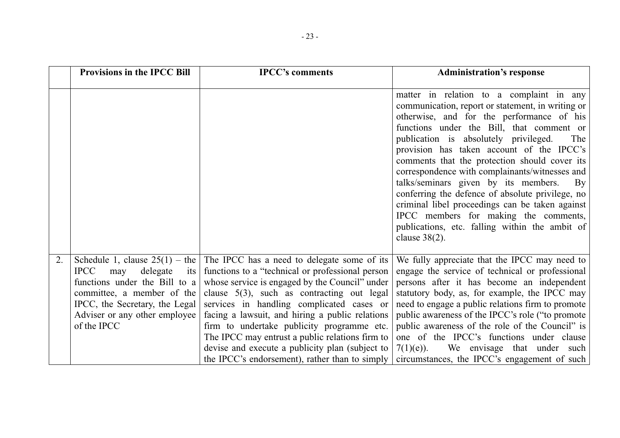|    | <b>Provisions in the IPCC Bill</b>                                                                                                                                                           | <b>IPCC's comments</b>                                                                                                                                                                                                                                                                                                                                                                                                                                                                                                                            | <b>Administration's response</b>                                                                                                                                                                                                                                                                                                                                                                                                                                                                                                                                                                                                                                   |
|----|----------------------------------------------------------------------------------------------------------------------------------------------------------------------------------------------|---------------------------------------------------------------------------------------------------------------------------------------------------------------------------------------------------------------------------------------------------------------------------------------------------------------------------------------------------------------------------------------------------------------------------------------------------------------------------------------------------------------------------------------------------|--------------------------------------------------------------------------------------------------------------------------------------------------------------------------------------------------------------------------------------------------------------------------------------------------------------------------------------------------------------------------------------------------------------------------------------------------------------------------------------------------------------------------------------------------------------------------------------------------------------------------------------------------------------------|
|    |                                                                                                                                                                                              |                                                                                                                                                                                                                                                                                                                                                                                                                                                                                                                                                   | matter in relation to a complaint in any<br>communication, report or statement, in writing or<br>otherwise, and for the performance of his<br>functions under the Bill, that comment or<br>publication is absolutely privileged.<br>The<br>provision has taken account of the IPCC's<br>comments that the protection should cover its<br>correspondence with complainants/witnesses and<br>talks/seminars given by its members.<br>$\rm\,By$<br>conferring the defence of absolute privilege, no<br>criminal libel proceedings can be taken against<br>IPCC members for making the comments,<br>publications, etc. falling within the ambit of<br>clause $38(2)$ . |
| 2. | <b>IPCC</b><br>may<br>$delegate$ its<br>functions under the Bill to $a \mid$<br>committee, a member of the<br>IPCC, the Secretary, the Legal<br>Adviser or any other employee<br>of the IPCC | Schedule 1, clause $25(1)$ – the The IPCC has a need to delegate some of its<br>functions to a "technical or professional person<br>whose service is engaged by the Council" under<br>clause $5(3)$ , such as contracting out legal<br>services in handling complicated cases or<br>facing a lawsuit, and hiring a public relations<br>firm to undertake publicity programme etc.<br>The IPCC may entrust a public relations firm to<br>devise and execute a publicity plan (subject to<br>the IPCC's endorsement), rather than to simply $\vert$ | We fully appreciate that the IPCC may need to<br>engage the service of technical or professional<br>persons after it has become an independent<br>statutory body, as, for example, the IPCC may<br>need to engage a public relations firm to promote<br>public awareness of the IPCC's role ("to promote<br>public awareness of the role of the Council" is<br>one of the IPCC's functions under clause<br>$7(1)(e)$ ).<br>We envisage that under such<br>circumstances, the IPCC's engagement of such                                                                                                                                                             |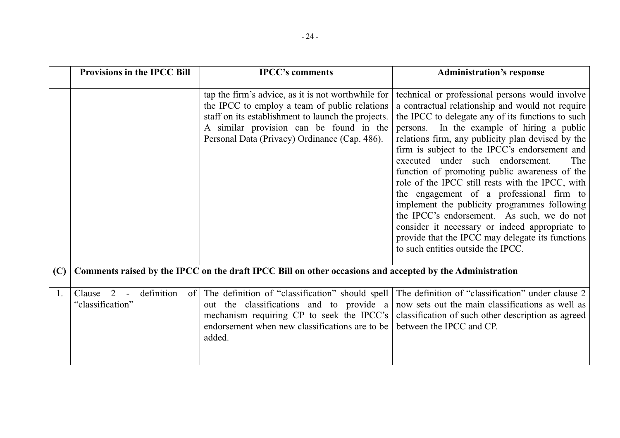|     | <b>Provisions in the IPCC Bill</b>                  | <b>IPCC's comments</b>                                                                                                                                                                                                                                | <b>Administration's response</b>                                                                                                                                                                                                                                                                                                                                                                                                                                                                                                                                                                                                                                                                                                                   |
|-----|-----------------------------------------------------|-------------------------------------------------------------------------------------------------------------------------------------------------------------------------------------------------------------------------------------------------------|----------------------------------------------------------------------------------------------------------------------------------------------------------------------------------------------------------------------------------------------------------------------------------------------------------------------------------------------------------------------------------------------------------------------------------------------------------------------------------------------------------------------------------------------------------------------------------------------------------------------------------------------------------------------------------------------------------------------------------------------------|
|     |                                                     | tap the firm's advice, as it is not worthwhile for<br>the IPCC to employ a team of public relations<br>staff on its establishment to launch the projects.<br>A similar provision can be found in the<br>Personal Data (Privacy) Ordinance (Cap. 486). | technical or professional persons would involve<br>a contractual relationship and would not require<br>the IPCC to delegate any of its functions to such<br>persons. In the example of hiring a public<br>relations firm, any publicity plan devised by the<br>firm is subject to the IPCC's endorsement and<br>executed under such endorsement.<br>The<br>function of promoting public awareness of the<br>role of the IPCC still rests with the IPCC, with<br>the engagement of a professional firm to<br>implement the publicity programmes following<br>the IPCC's endorsement. As such, we do not<br>consider it necessary or indeed appropriate to<br>provide that the IPCC may delegate its functions<br>to such entities outside the IPCC. |
| (C) |                                                     | Comments raised by the IPCC on the draft IPCC Bill on other occasions and accepted by the Administration                                                                                                                                              |                                                                                                                                                                                                                                                                                                                                                                                                                                                                                                                                                                                                                                                                                                                                                    |
| 1.  | definition<br>2<br>Clause<br>of<br>"classification" | The definition of "classification" should spell<br>out the classifications and to provide a<br>mechanism requiring CP to seek the IPCC's<br>endorsement when new classifications are to be<br>added.                                                  | The definition of "classification" under clause 2<br>now sets out the main classifications as well as<br>classification of such other description as agreed<br>between the IPCC and CP.                                                                                                                                                                                                                                                                                                                                                                                                                                                                                                                                                            |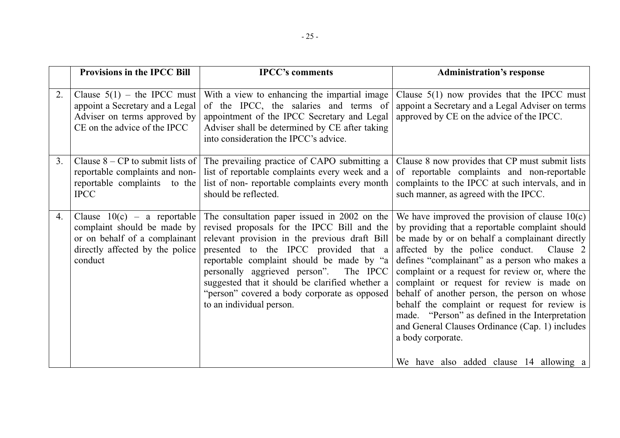|                | <b>Provisions in the IPCC Bill</b>                                                                                                          | <b>IPCC's comments</b>                                                                                                                                                                                                                                                                                                                                                                                           | <b>Administration's response</b>                                                                                                                                                                                                                                                                                                                                                                                                                                                                                                                                                                                            |
|----------------|---------------------------------------------------------------------------------------------------------------------------------------------|------------------------------------------------------------------------------------------------------------------------------------------------------------------------------------------------------------------------------------------------------------------------------------------------------------------------------------------------------------------------------------------------------------------|-----------------------------------------------------------------------------------------------------------------------------------------------------------------------------------------------------------------------------------------------------------------------------------------------------------------------------------------------------------------------------------------------------------------------------------------------------------------------------------------------------------------------------------------------------------------------------------------------------------------------------|
| 2.             | Clause $5(1)$ – the IPCC must<br>appoint a Secretary and a Legal<br>Adviser on terms approved by<br>CE on the advice of the IPCC            | With a view to enhancing the impartial image<br>of the IPCC, the salaries and terms of<br>appointment of the IPCC Secretary and Legal<br>Adviser shall be determined by CE after taking<br>into consideration the IPCC's advice.                                                                                                                                                                                 | Clause $5(1)$ now provides that the IPCC must<br>appoint a Secretary and a Legal Adviser on terms<br>approved by CE on the advice of the IPCC.                                                                                                                                                                                                                                                                                                                                                                                                                                                                              |
| 3 <sub>1</sub> | Clause $8 - CP$ to submit lists of<br>reportable complaints and non-<br>reportable complaints to the<br><b>IPCC</b>                         | The prevailing practice of CAPO submitting a<br>list of reportable complaints every week and a<br>list of non-reportable complaints every month<br>should be reflected.                                                                                                                                                                                                                                          | Clause 8 now provides that CP must submit lists<br>of reportable complaints and non-reportable<br>complaints to the IPCC at such intervals, and in<br>such manner, as agreed with the IPCC.                                                                                                                                                                                                                                                                                                                                                                                                                                 |
| 4.             | Clause $10(c)$ – a reportable<br>complaint should be made by<br>or on behalf of a complainant<br>directly affected by the police<br>conduct | The consultation paper issued in $2002$ on the<br>revised proposals for the IPCC Bill and the<br>relevant provision in the previous draft Bill<br>presented to the IPCC provided that a<br>reportable complaint should be made by "a<br>personally aggrieved person".<br>The IPCC<br>suggested that it should be clarified whether a<br>"person" covered a body corporate as opposed<br>to an individual person. | We have improved the provision of clause $10(c)$<br>by providing that a reportable complaint should<br>be made by or on behalf a complainant directly<br>affected by the police conduct. Clause 2<br>defines "complainant" as a person who makes a<br>complaint or a request for review or, where the<br>complaint or request for review is made on<br>behalf of another person, the person on whose<br>behalf the complaint or request for review is<br>made. "Person" as defined in the Interpretation<br>and General Clauses Ordinance (Cap. 1) includes<br>a body corporate.<br>We have also added clause 14 allowing a |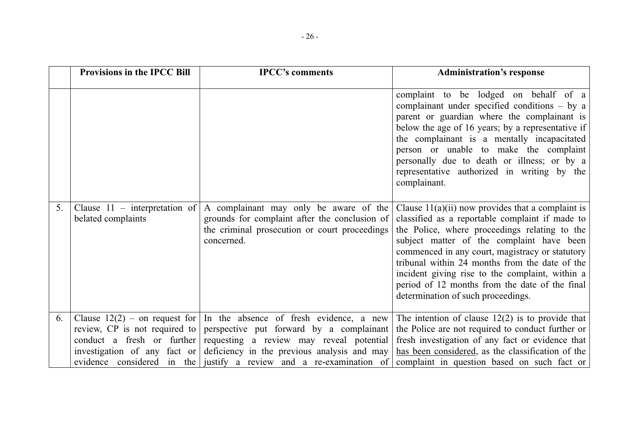|    | <b>Provisions in the IPCC Bill</b>                          | <b>IPCC's comments</b>                                                                                                                                                                                                                                                                                             | <b>Administration's response</b>                                                                                                                                                                                                                                                                                                                                                                                                                     |
|----|-------------------------------------------------------------|--------------------------------------------------------------------------------------------------------------------------------------------------------------------------------------------------------------------------------------------------------------------------------------------------------------------|------------------------------------------------------------------------------------------------------------------------------------------------------------------------------------------------------------------------------------------------------------------------------------------------------------------------------------------------------------------------------------------------------------------------------------------------------|
|    |                                                             |                                                                                                                                                                                                                                                                                                                    | complaint to be lodged on behalf of a<br>complainant under specified conditions $-$ by a<br>parent or guardian where the complainant is<br>below the age of 16 years; by a representative if<br>the complainant is a mentally incapacitated<br>person or unable to make the complaint<br>personally due to death or illness; or by a<br>representative authorized in writing by the<br>complainant.                                                  |
| 5. | Clause $11$ – interpretation of<br>belated complaints       | A complainant may only be aware of the<br>grounds for complaint after the conclusion of<br>the criminal prosecution or court proceedings<br>concerned.                                                                                                                                                             | Clause $11(a)(ii)$ now provides that a complaint is<br>classified as a reportable complaint if made to<br>the Police, where proceedings relating to the<br>subject matter of the complaint have been<br>commenced in any court, magistracy or statutory<br>tribunal within 24 months from the date of the<br>incident giving rise to the complaint, within a<br>period of 12 months from the date of the final<br>determination of such proceedings. |
| 6. | review, CP is not required to<br>conduct a fresh or further | Clause $12(2)$ – on request for In the absence of fresh evidence, a new<br>perspective put forward by a complainant<br>requesting a review may reveal potential<br>investigation of any fact or deficiency in the previous analysis and may<br>evidence considered in the justify a review and a re-examination of | The intention of clause $12(2)$ is to provide that<br>the Police are not required to conduct further or<br>fresh investigation of any fact or evidence that<br>has been considered, as the classification of the<br>complaint in question based on such fact or                                                                                                                                                                                      |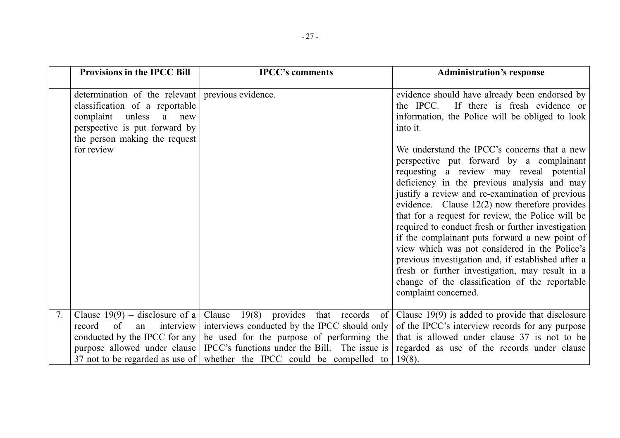|    | <b>Provisions in the IPCC Bill</b>                                                                                                                                                                    | <b>IPCC's comments</b>                                                                  | <b>Administration's response</b>                                                                                                                                                                                                                                                                                                                                                                                                                                                                                                                                                                                                                                                                                                                                                                                                                         |
|----|-------------------------------------------------------------------------------------------------------------------------------------------------------------------------------------------------------|-----------------------------------------------------------------------------------------|----------------------------------------------------------------------------------------------------------------------------------------------------------------------------------------------------------------------------------------------------------------------------------------------------------------------------------------------------------------------------------------------------------------------------------------------------------------------------------------------------------------------------------------------------------------------------------------------------------------------------------------------------------------------------------------------------------------------------------------------------------------------------------------------------------------------------------------------------------|
|    | determination of the relevant previous evidence.<br>classification of a reportable<br>unless<br>complaint<br>a<br>new<br>perspective is put forward by<br>the person making the request<br>for review |                                                                                         | evidence should have already been endorsed by<br>the IPCC.<br>If there is fresh evidence or<br>information, the Police will be obliged to look<br>into it.<br>We understand the IPCC's concerns that a new<br>perspective put forward by a complainant<br>requesting a review may reveal potential<br>deficiency in the previous analysis and may<br>justify a review and re-examination of previous<br>evidence. Clause $12(2)$ now therefore provides<br>that for a request for review, the Police will be<br>required to conduct fresh or further investigation<br>if the complainant puts forward a new point of<br>view which was not considered in the Police's<br>previous investigation and, if established after a<br>fresh or further investigation, may result in a<br>change of the classification of the reportable<br>complaint concerned. |
|    |                                                                                                                                                                                                       |                                                                                         |                                                                                                                                                                                                                                                                                                                                                                                                                                                                                                                                                                                                                                                                                                                                                                                                                                                          |
| 7. | Clause $19(9)$ – disclosure of a<br>of<br>interview<br>record<br>an                                                                                                                                   | Clause $19(8)$ provides that records of<br>interviews conducted by the IPCC should only | Clause $19(9)$ is added to provide that disclosure<br>of the IPCC's interview records for any purpose                                                                                                                                                                                                                                                                                                                                                                                                                                                                                                                                                                                                                                                                                                                                                    |
|    | conducted by the IPCC for any                                                                                                                                                                         | be used for the purpose of performing the                                               | that is allowed under clause 37 is not to be                                                                                                                                                                                                                                                                                                                                                                                                                                                                                                                                                                                                                                                                                                                                                                                                             |
|    |                                                                                                                                                                                                       |                                                                                         |                                                                                                                                                                                                                                                                                                                                                                                                                                                                                                                                                                                                                                                                                                                                                                                                                                                          |
|    |                                                                                                                                                                                                       |                                                                                         |                                                                                                                                                                                                                                                                                                                                                                                                                                                                                                                                                                                                                                                                                                                                                                                                                                                          |
|    | purpose allowed under clause<br>37 not to be regarded as use of                                                                                                                                       | IPCC's functions under the Bill. The issue is<br>whether the IPCC could be compelled to | regarded as use of the records under clause<br>$19(8)$ .                                                                                                                                                                                                                                                                                                                                                                                                                                                                                                                                                                                                                                                                                                                                                                                                 |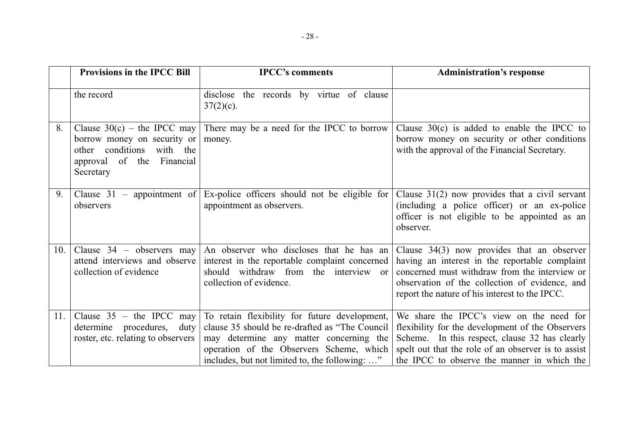|     | <b>Provisions in the IPCC Bill</b>                                                                                                     | <b>IPCC's comments</b>                                                                                                                                                                                                                   | <b>Administration's response</b>                                                                                                                                                                                                                     |
|-----|----------------------------------------------------------------------------------------------------------------------------------------|------------------------------------------------------------------------------------------------------------------------------------------------------------------------------------------------------------------------------------------|------------------------------------------------------------------------------------------------------------------------------------------------------------------------------------------------------------------------------------------------------|
|     | the record                                                                                                                             | disclose the records by virtue of clause<br>$37(2)(c)$ .                                                                                                                                                                                 |                                                                                                                                                                                                                                                      |
| 8.  | Clause $30(c)$ – the IPCC may<br>borrow money on security or<br>other conditions<br>with the<br>approval of the Financial<br>Secretary | There may be a need for the IPCC to borrow<br>money.                                                                                                                                                                                     | Clause $30(c)$ is added to enable the IPCC to<br>borrow money on security or other conditions<br>with the approval of the Financial Secretary.                                                                                                       |
| 9.  | observers                                                                                                                              | Clause 31 – appointment of Ex-police officers should not be eligible for<br>appointment as observers.                                                                                                                                    | Clause $31(2)$ now provides that a civil servant<br>(including a police officer) or an ex-police<br>officer is not eligible to be appointed as an<br>observer.                                                                                       |
| 10. | Clause $34$ – observers may<br>attend interviews and observe<br>collection of evidence                                                 | An observer who discloses that he has an<br>interest in the reportable complaint concerned<br>should withdraw from the interview or<br>collection of evidence.                                                                           | Clause $34(3)$ now provides that an observer<br>having an interest in the reportable complaint<br>concerned must withdraw from the interview or<br>observation of the collection of evidence, and<br>report the nature of his interest to the IPCC.  |
| 11. | Clause $35$ – the IPCC may<br>determine procedures, duty<br>roster, etc. relating to observers                                         | To retain flexibility for future development,<br>clause 35 should be re-drafted as "The Council<br>may determine any matter concerning the<br>operation of the Observers Scheme, which<br>includes, but not limited to, the following: " | We share the IPCC's view on the need for<br>flexibility for the development of the Observers<br>Scheme. In this respect, clause 32 has clearly<br>spelt out that the role of an observer is to assist<br>the IPCC to observe the manner in which the |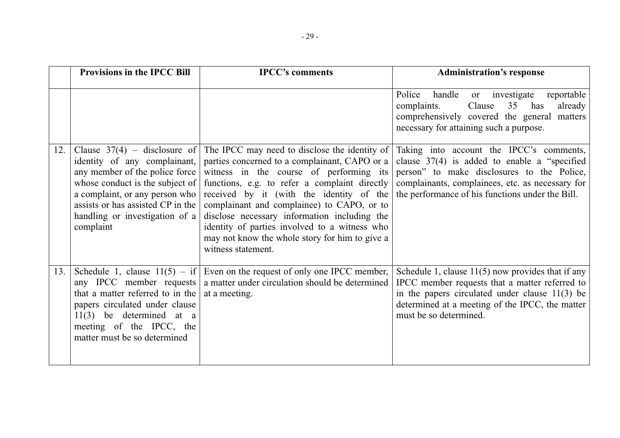|     | <b>Provisions in the IPCC Bill</b>                                                                                                                                                                                                                        | <b>IPCC's comments</b>                                                                                                                                                                                                                                                                                                                                                                                                                                        | <b>Administration's response</b>                                                                                                                                                                                                                  |
|-----|-----------------------------------------------------------------------------------------------------------------------------------------------------------------------------------------------------------------------------------------------------------|---------------------------------------------------------------------------------------------------------------------------------------------------------------------------------------------------------------------------------------------------------------------------------------------------------------------------------------------------------------------------------------------------------------------------------------------------------------|---------------------------------------------------------------------------------------------------------------------------------------------------------------------------------------------------------------------------------------------------|
|     |                                                                                                                                                                                                                                                           |                                                                                                                                                                                                                                                                                                                                                                                                                                                               | handle<br>investigate<br>reportable<br>Police<br>or<br>35<br>complaints.<br>Clause<br>has<br>already<br>comprehensively covered the general matters<br>necessary for attaining such a purpose.                                                    |
| 12. | Clause $37(4)$ – disclosure of<br>identity of any complainant,<br>any member of the police force<br>whose conduct is the subject of<br>a complaint, or any person who<br>assists or has assisted CP in the<br>handling or investigation of a<br>complaint | The IPCC may need to disclose the identity of<br>parties concerned to a complainant, CAPO or a<br>witness in the course of performing its<br>functions, e.g. to refer a complaint directly<br>received by it (with the identity of the<br>complainant and complainee) to CAPO, or to<br>disclose necessary information including the<br>identity of parties involved to a witness who<br>may not know the whole story for him to give a<br>witness statement. | Taking into account the IPCC's comments,<br>clause $37(4)$ is added to enable a "specified"<br>person" to make disclosures to the Police,<br>complainants, complainees, etc. as necessary for<br>the performance of his functions under the Bill. |
| 13. | Schedule 1, clause $11(5) - if$<br>any IPCC member requests<br>that a matter referred to in the<br>papers circulated under clause<br>$11(3)$ be determined at a<br>meeting of the IPCC, the<br>matter must be so determined                               | Even on the request of only one IPCC member,<br>a matter under circulation should be determined<br>at a meeting.                                                                                                                                                                                                                                                                                                                                              | Schedule 1, clause $11(5)$ now provides that if any<br>IPCC member requests that a matter referred to<br>in the papers circulated under clause $11(3)$ be<br>determined at a meeting of the IPCC, the matter<br>must be so determined.            |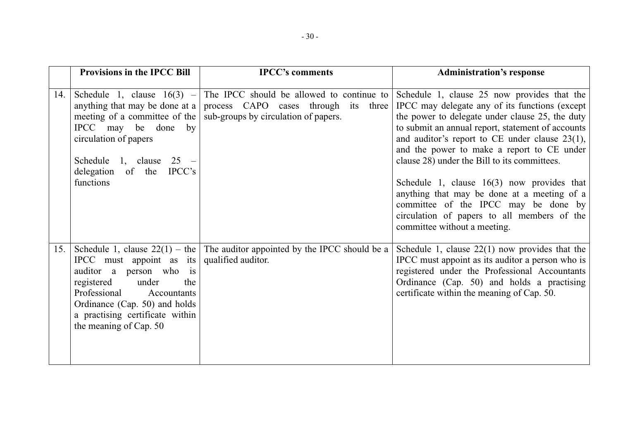|     | <b>Provisions in the IPCC Bill</b>                                                                                                                                                                             | <b>IPCC's comments</b>                                                                                                                                 | <b>Administration's response</b>                                                                                                                                                                                                                                                                                                                                                                                                                                                                                                                                            |
|-----|----------------------------------------------------------------------------------------------------------------------------------------------------------------------------------------------------------------|--------------------------------------------------------------------------------------------------------------------------------------------------------|-----------------------------------------------------------------------------------------------------------------------------------------------------------------------------------------------------------------------------------------------------------------------------------------------------------------------------------------------------------------------------------------------------------------------------------------------------------------------------------------------------------------------------------------------------------------------------|
| 14. | anything that may be done at a<br>meeting of a committee of the<br>IPCC may be done<br>by<br>circulation of papers<br>Schedule 1, clause $25 -$<br>delegation of the<br>$\text{IPCC's}$<br>functions           | Schedule 1, clause $16(3)$ – The IPCC should be allowed to continue to<br>process CAPO cases through its three<br>sub-groups by circulation of papers. | Schedule 1, clause 25 now provides that the<br>IPCC may delegate any of its functions (except<br>the power to delegate under clause 25, the duty<br>to submit an annual report, statement of accounts<br>and auditor's report to CE under clause 23(1),<br>and the power to make a report to CE under<br>clause 28) under the Bill to its committees.<br>Schedule 1, clause $16(3)$ now provides that<br>anything that may be done at a meeting of a<br>committee of the IPCC may be done by<br>circulation of papers to all members of the<br>committee without a meeting. |
| 15. | IPCC must appoint as its<br>auditor a person who is<br>registered<br>under<br>the<br>Professional<br>Accountants<br>Ordinance (Cap. 50) and holds<br>a practising certificate within<br>the meaning of Cap. 50 | Schedule 1, clause $22(1)$ – the The auditor appointed by the IPCC should be a<br>qualified auditor.                                                   | Schedule 1, clause $22(1)$ now provides that the<br>IPCC must appoint as its auditor a person who is<br>registered under the Professional Accountants<br>Ordinance (Cap. 50) and holds a practising<br>certificate within the meaning of Cap. 50.                                                                                                                                                                                                                                                                                                                           |